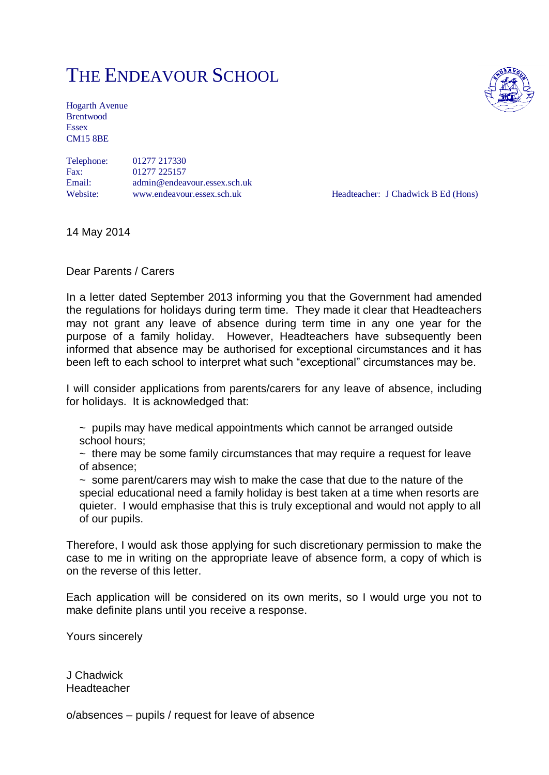# THE ENDEAVOUR SCHOOL

Hogarth Avenue Brentwood Essex CM15 8BE

Telephone: 01277 217330 Fax: 01277 225157 Email: admin@endeavour.essex.sch.uk Website: www.endeavour.essex.sch.uk Headteacher: J Chadwick B Ed (Hons)

14 May 2014

Dear Parents / Carers

In a letter dated September 2013 informing you that the Government had amended the regulations for holidays during term time. They made it clear that Headteachers may not grant any leave of absence during term time in any one year for the purpose of a family holiday. However, Headteachers have subsequently been informed that absence may be authorised for exceptional circumstances and it has been left to each school to interpret what such "exceptional" circumstances may be.

I will consider applications from parents/carers for any leave of absence, including for holidays. It is acknowledged that:

~ pupils may have medical appointments which cannot be arranged outside school hours;

 $\sim$  there may be some family circumstances that may require a request for leave of absence;

 $\sim$  some parent/carers may wish to make the case that due to the nature of the special educational need a family holiday is best taken at a time when resorts are quieter. I would emphasise that this is truly exceptional and would not apply to all of our pupils.

Therefore, I would ask those applying for such discretionary permission to make the case to me in writing on the appropriate leave of absence form, a copy of which is on the reverse of this letter.

Each application will be considered on its own merits, so I would urge you not to make definite plans until you receive a response.

Yours sincerely

J Chadwick **Headteacher** 

o/absences – pupils / request for leave of absence